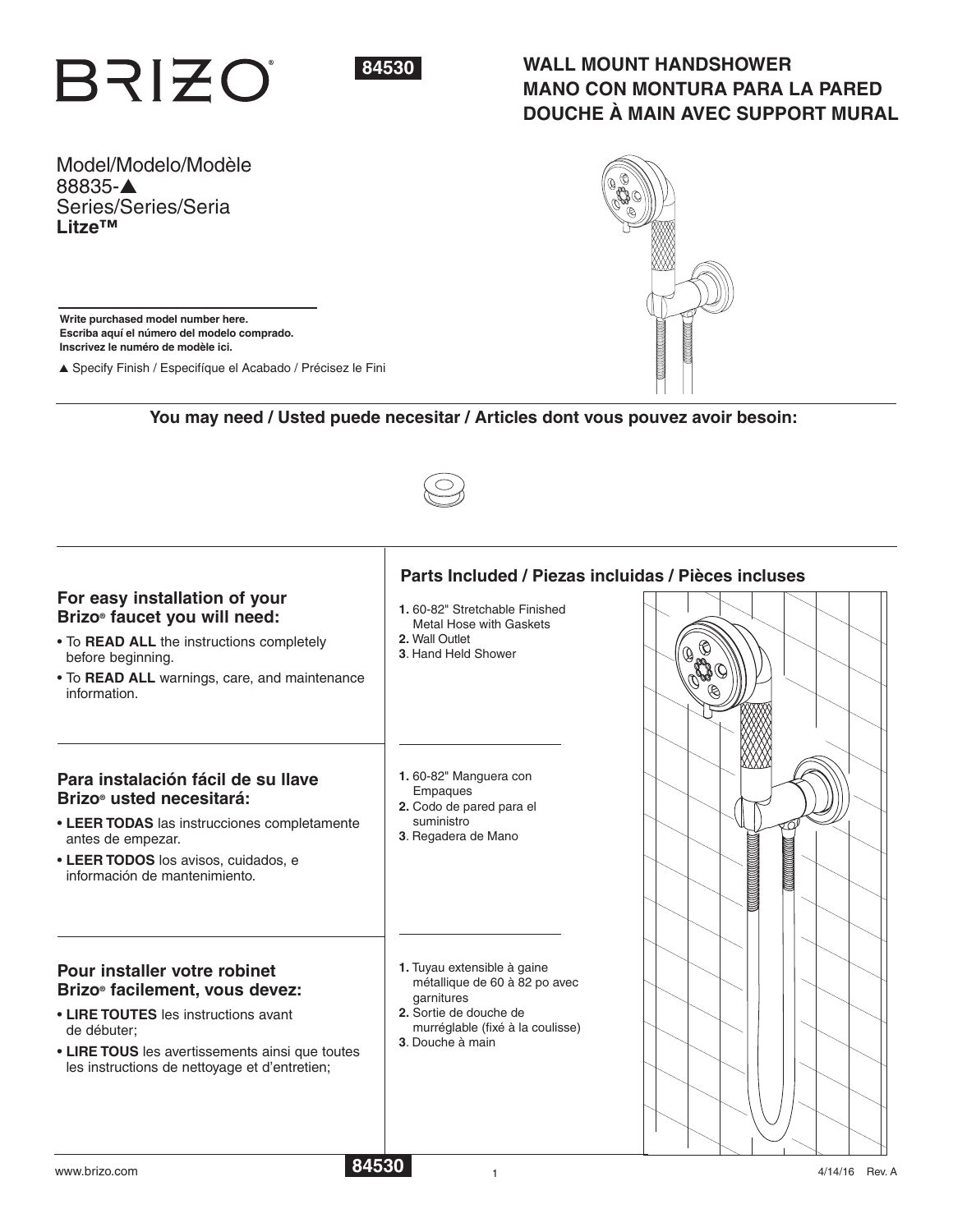



# **WALL MOUNT HANDSHOWER MANO CON MONTURA PARA LA PARED DOUCHE À MAIN AVEC SUPPORT MURAL**

Model/Modelo/Modèle 88835-▲ Series/Series/Seria **Litze™**

**Write purchased model number here. Escriba aquí el número del modelo comprado. Inscrivez le numéro de modèle ici.**

▲ Specify Finish / Especifíque el Acabado / Précisez le Fini

## **You may need / Usted puede necesitar / Articles dont vous pouvez avoir besoin:**



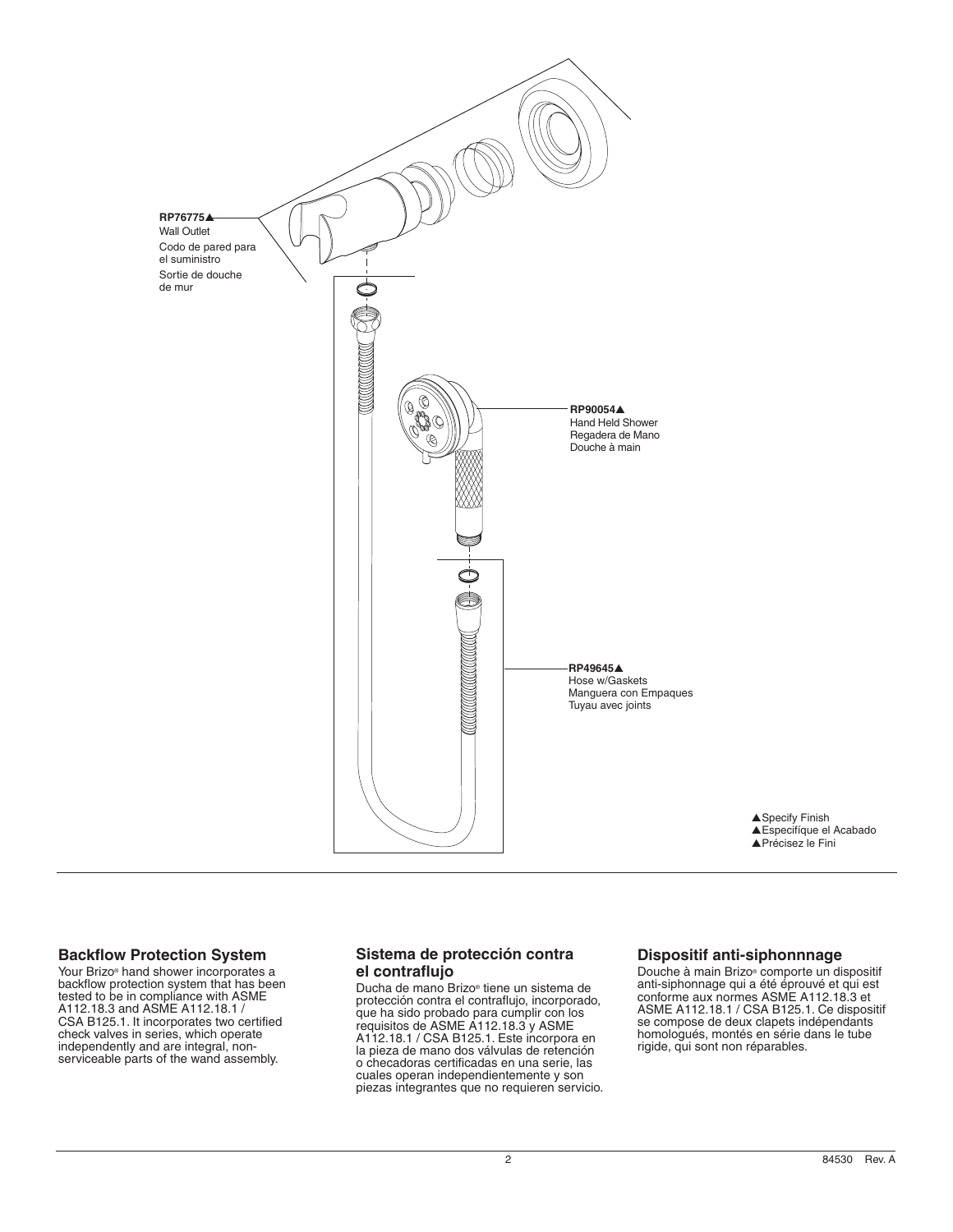



## **Backflow Protection System**

Your Brizo<sup>®</sup> hand shower incorporates a backflow protection system that has been tested to be in compliance with ASME A112.18.3 and ASME A112.18.1 / CSA B125.1. It incorporates two certified check valves in series, which operate independently and are integral, nonserviceable parts of the wand assembly.

## **Sistema de protección contra el contraflujo**

Ducha de mano Brizo® tiene un sistema de protección contra el contraflujo, incorporado, que ha sido probado para cumplir con los requisitos de ASME A112.18.3 y ASME A112.18.1 / CSA B125.1. Este incorpora en la pieza de mano dos válvulas de retención o checadoras certificadas en una serie, las cuales operan independientemente y son piezas integrantes que no requieren servicio.

## **Dispositif anti-siphonnnage**

Douche à main Brizo® comporte un dispositif anti-siphonnage qui a été éprouvé et qui est conforme aux normes ASME A112.18.3 et ASME A112.18.1 / CSA B125.1. Ce dispositif se compose de deux clapets indépendants homologués, montés en série dans le tube rigide, qui sont non réparables.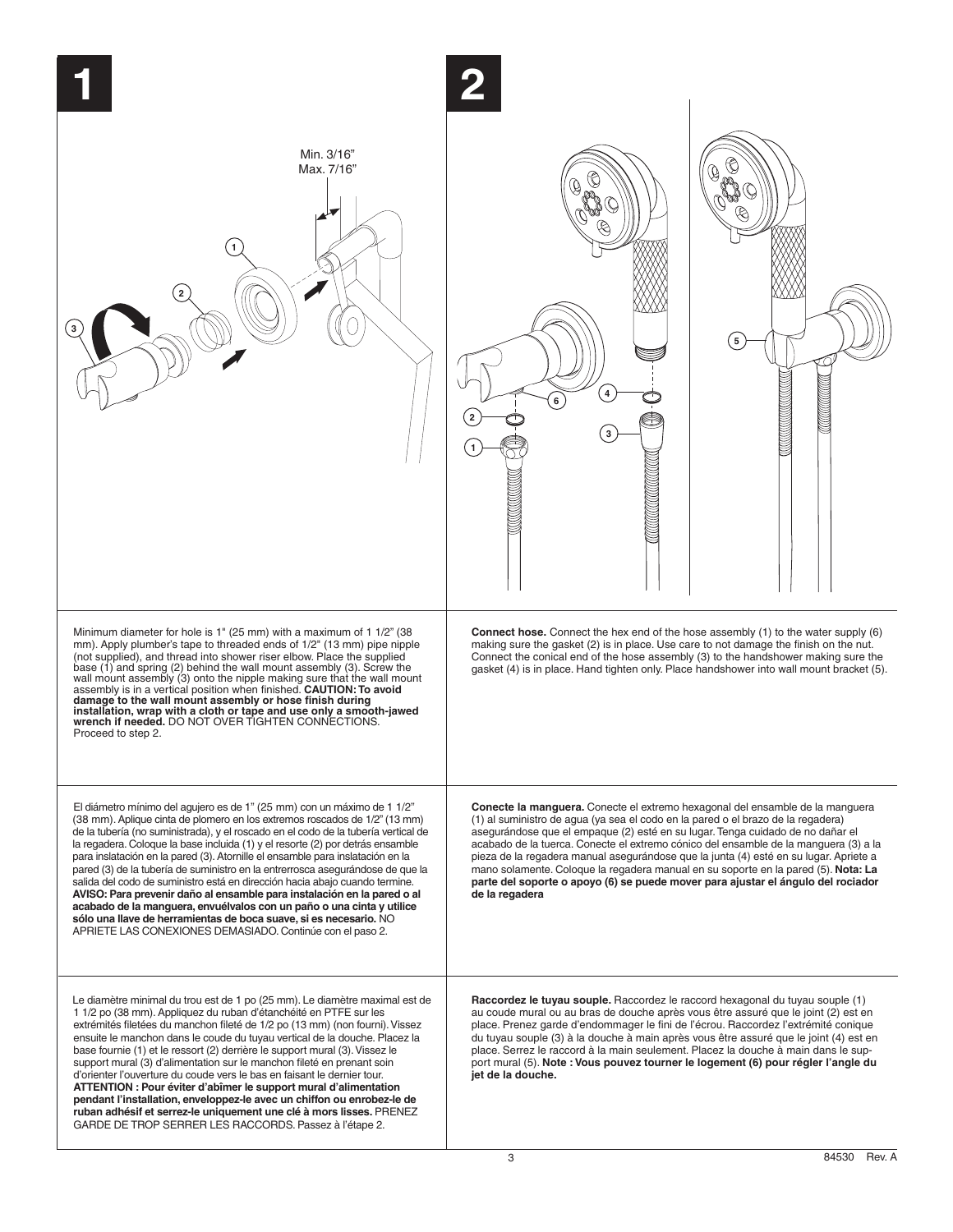

**2**

**1**



**Connect hose.** Connect the hex end of the hose assembly (1) to the water supply (6) making sure the gasket (2) is in place. Use care to not damage the finish on the nut. Connect the conical end of the hose assembly (3) to the handshower making sure the gasket (4) is in place. Hand tighten only. Place handshower into wall mount bracket (5).

**4**

**6**

**3**

**Conecte la manguera.** Conecte el extremo hexagonal del ensamble de la manguera (1) al suministro de agua (ya sea el codo en la pared o el brazo de la regadera) asegurándose que el empaque (2) esté en su lugar.Tenga cuidado de no dañar el acabado de la tuerca. Conecte el extremo cónico del ensamble de la manguera (3) a la pieza de la regadera manual asegurándose que la junta (4) esté en su lugar. Apriete a mano solamente. Coloque la regadera manual en su soporte en la pared (5). **Nota: La parte del soporte o apoyo (6) se puede mover para ajustar el ángulo del rociador de la regadera** 

Le diamètre minimal du trou est de 1 po (25 mm). Le diamètre maximal est de 1 1/2 po (38 mm). Appliquez du ruban d'étanchéité en PTFE sur les extrémités filetées du manchon fileté de 1/2 po (13 mm) (non fourni). Vissez ensuite le manchon dans le coude du tuyau vertical de la douche. Placez la base fournie (1) et le ressort (2) derrière le support mural (3).Vissez le support mural (3) d'alimentation sur le manchon fileté en prenant soin d'orienter l'ouverture du coude vers le bas en faisant le dernier tour. **ATTENTION : Pour éviter d'abîmer le support mural d'alimentation pendant l'installation, enveloppez-le avec un chiffon ou enrobez-le de ruban adhésif et serrez-le uniquement une clé à mors lisses.** PRENEZ GARDE DE TROP SERRER LES RACCORDS. Passez à l'étape 2.

Minimum diameter for hole is 1" (25 mm) with a maximum of 1 1/2" (38 mm). Apply plumber's tape to threaded ends of 1/2" (13 mm) pipe nipple (not supplied), and thread into shower riser elbow. Place the supplied base (1) and spring (2) behind the wall mount assembly (3). Screw the<br>wall mount assembly (3) onto the nipple making sure that the wall mount<br>assembly is in a vertical position when finished. **CAUTION: To avoid** 

**1**

Min. 3/16" Max. 7/16"

**2**

damage to the wall mount assembly or hose finish during<br>installation, wrap with a cloth or tape and use only a smooth-jawed<br>wrench if needed. DO NOT OVER TIGHTEN CONNECTIONS.

El diámetro mínimo del agujero es de 1" (25 mm) con un máximo de 1 1/2" (38 mm).Aplique cinta de plomero en los extremos roscados de 1/2" (13 mm) de la tubería (no suministrada), y el roscado en el codo de la tubería vertical de la regadera. Coloque la base incluida (1) y el resorte (2) por detrás ensamble para inslatación en la pared (3). Atornille el ensamble para inslatación en la pared (3) de la tubería de suministro en la entrerrosca asegurándose de que la salida del codo de suministro está en dirección hacia abajo cuando termine. **AVISO: Para prevenir daño al ensamble para instalación en la pared o al acabado de la manguera, envuélvalos con un paño o una cinta y utilice sólo una llave de herramientas de boca suave, si es necesario.** NO APRIETE LAS CONEXIONES DEMASIADO. Continúe con el paso 2.

Proceed to step 2.

**3**

Raccordez le tuyau souple. Raccordez le raccord hexagonal du tuyau souple (1) au coude mural ou au bras de douche après vous être assuré que le joint (2) est en place. Prenez garde d'endommager le fini de l'écrou. Raccordez l'extrémité conique du tuyau souple (3) à la douche à main après vous être assuré que le joint (4) est en place. Serrez le raccord à la main seulement. Placez la douche à main dans le support mural (5). **Note : Vous pouvez tourner le logement (6) pour régler l'angle du jet de la douche.**